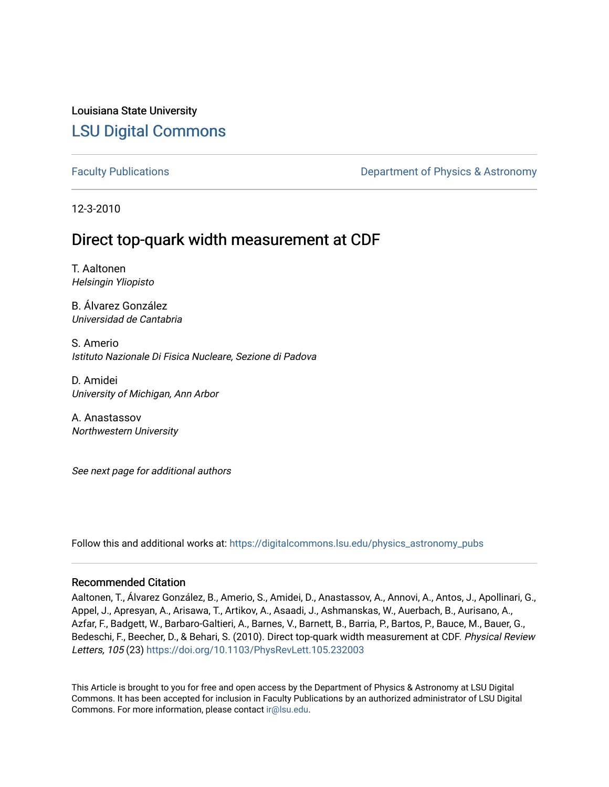## Louisiana State University [LSU Digital Commons](https://digitalcommons.lsu.edu/)

[Faculty Publications](https://digitalcommons.lsu.edu/physics_astronomy_pubs) **Exercise 2 and Table 2 and Table 2 and Table 2 and Table 2 and Table 2 and Table 2 and Table 2 and Table 2 and Table 2 and Table 2 and Table 2 and Table 2 and Table 2 and Table 2 and Table 2 and Table** 

12-3-2010

# Direct top-quark width measurement at CDF

T. Aaltonen Helsingin Yliopisto

B. Álvarez González Universidad de Cantabria

S. Amerio Istituto Nazionale Di Fisica Nucleare, Sezione di Padova

D. Amidei University of Michigan, Ann Arbor

A. Anastassov Northwestern University

See next page for additional authors

Follow this and additional works at: [https://digitalcommons.lsu.edu/physics\\_astronomy\\_pubs](https://digitalcommons.lsu.edu/physics_astronomy_pubs?utm_source=digitalcommons.lsu.edu%2Fphysics_astronomy_pubs%2F2383&utm_medium=PDF&utm_campaign=PDFCoverPages) 

#### Recommended Citation

Aaltonen, T., Álvarez González, B., Amerio, S., Amidei, D., Anastassov, A., Annovi, A., Antos, J., Apollinari, G., Appel, J., Apresyan, A., Arisawa, T., Artikov, A., Asaadi, J., Ashmanskas, W., Auerbach, B., Aurisano, A., Azfar, F., Badgett, W., Barbaro-Galtieri, A., Barnes, V., Barnett, B., Barria, P., Bartos, P., Bauce, M., Bauer, G., Bedeschi, F., Beecher, D., & Behari, S. (2010). Direct top-quark width measurement at CDF. Physical Review Letters, 105 (23)<https://doi.org/10.1103/PhysRevLett.105.232003>

This Article is brought to you for free and open access by the Department of Physics & Astronomy at LSU Digital Commons. It has been accepted for inclusion in Faculty Publications by an authorized administrator of LSU Digital Commons. For more information, please contact [ir@lsu.edu](mailto:ir@lsu.edu).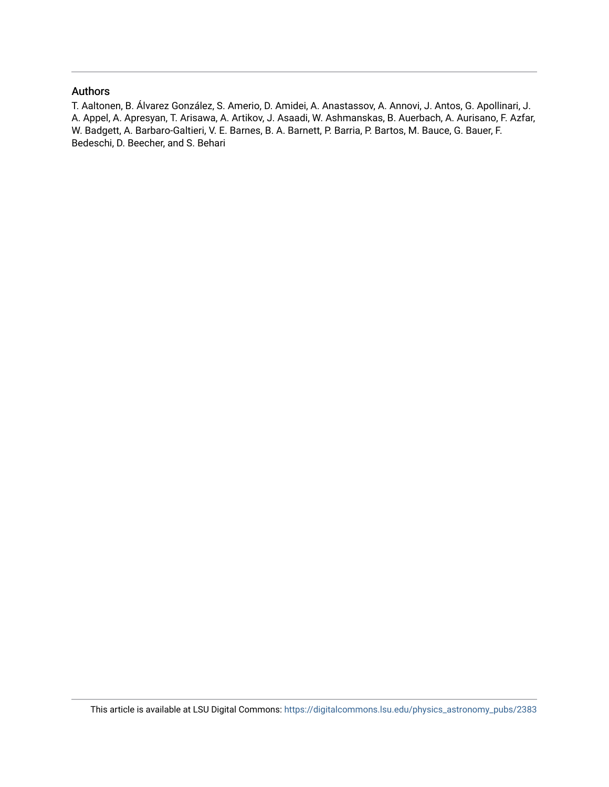#### Authors

T. Aaltonen, B. Álvarez González, S. Amerio, D. Amidei, A. Anastassov, A. Annovi, J. Antos, G. Apollinari, J. A. Appel, A. Apresyan, T. Arisawa, A. Artikov, J. Asaadi, W. Ashmanskas, B. Auerbach, A. Aurisano, F. Azfar, W. Badgett, A. Barbaro-Galtieri, V. E. Barnes, B. A. Barnett, P. Barria, P. Bartos, M. Bauce, G. Bauer, F. Bedeschi, D. Beecher, and S. Behari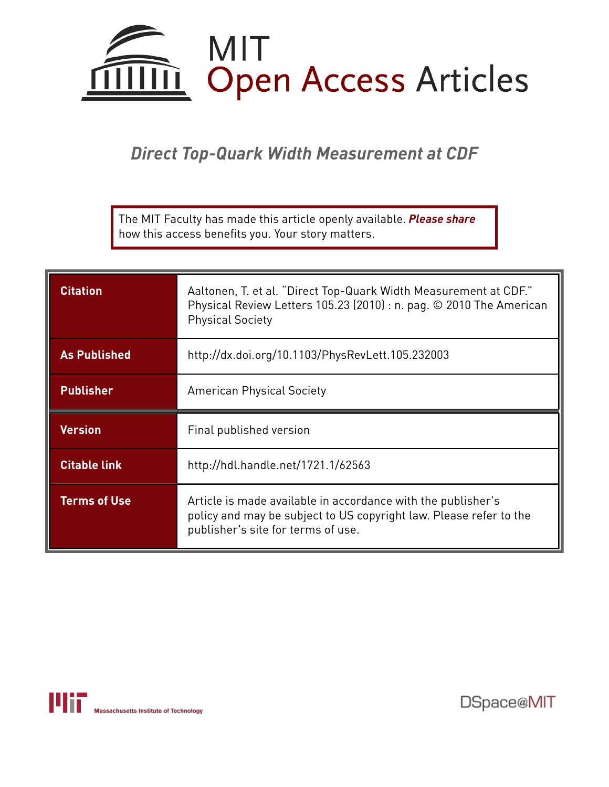

*Direct Top-Quark Width Measurement at CDF*

The MIT Faculty has made this article openly available. *[Please](https://libraries.mit.edu/forms/dspace-oa-articles.html) share* how this access benefits you. Your story matters.

| <b>Citation</b>     | Aaltonen, T. et al. "Direct Top-Quark Width Measurement at CDF."<br>Physical Review Letters 105.23 (2010) : n. pag. © 2010 The American<br><b>Physical Society</b> |  |
|---------------------|--------------------------------------------------------------------------------------------------------------------------------------------------------------------|--|
| <b>As Published</b> | http://dx.doi.org/10.1103/PhysRevLett.105.232003                                                                                                                   |  |
| <b>Publisher</b>    | <b>American Physical Society</b>                                                                                                                                   |  |
|                     |                                                                                                                                                                    |  |
| <b>Version</b>      | Final published version                                                                                                                                            |  |
| <b>Citable link</b> | http://hdl.handle.net/1721.1/62563                                                                                                                                 |  |



DSpace@MIT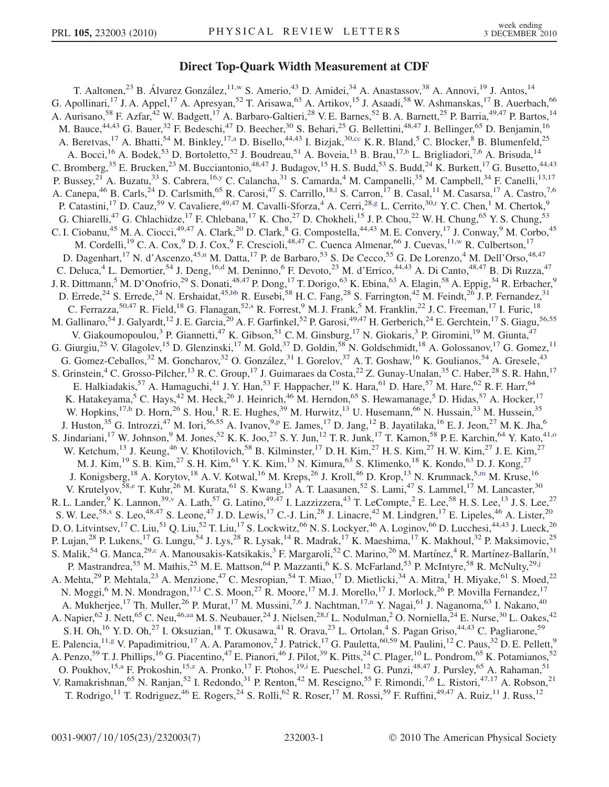### Direct Top-Quark Width Measurement at CDF

<span id="page-3-22"></span><span id="page-3-21"></span><span id="page-3-20"></span><span id="page-3-19"></span><span id="page-3-18"></span><span id="page-3-17"></span><span id="page-3-16"></span><span id="page-3-15"></span><span id="page-3-14"></span><span id="page-3-13"></span><span id="page-3-12"></span><span id="page-3-11"></span><span id="page-3-10"></span><span id="page-3-9"></span><span id="page-3-8"></span><span id="page-3-7"></span><span id="page-3-6"></span><span id="page-3-5"></span><span id="page-3-4"></span><span id="page-3-3"></span><span id="page-3-2"></span><span id="page-3-1"></span><span id="page-3-0"></span>T. Aaltonen,<sup>23</sup> B. Álvarez González,<sup>11,[w](#page-9-0)</sup> S. Amerio,<sup>43</sup> D. Amidei,<sup>34</sup> A. Anastassov,<sup>38</sup> A. Annovi,<sup>19</sup> J. Antos,<sup>14</sup> G. Apollinari,<sup>17</sup> J. A. Appel,<sup>17</sup> A. Apresyan,<sup>52</sup> T. Arisawa,<sup>63</sup> A. Artikov,<sup>15</sup> J. Asaadi,<sup>58</sup> W. Ashmanskas,<sup>17</sup> B. Auerbach,<sup>66</sup> A. Aurisano,<sup>58</sup> F. Azfar,<sup>42</sup> W. Badgett,<sup>17</sup> A. Barbaro-Galtieri,<sup>28</sup> V. E. Barnes,<sup>52</sup> B. A. Barnett,<sup>25</sup> P. Barria,<sup>49,47</sup> P. Bartos,<sup>14</sup> M. Bauce,<sup>44,43</sup> G. Bauer,<sup>32</sup> F. Bedeschi,<sup>47</sup> D. Beecher,<sup>30</sup> S. Behari,<sup>25</sup> G. Bellettini,<sup>48,47</sup> J. Bellinger,<sup>65</sup> D. Benjamin,<sup>16</sup> A. Beretvas,<sup>17</sup> A. Bhatti,<sup>54</sup> M. Binkley,<sup>17[,a](#page-8-0)</sup> D. Bisello,<sup>44,43</sup> I. Bizjak,<sup>30[,cc](#page-9-1)</sup> K. R. Bland,<sup>5</sup> C. Blocker,<sup>8</sup> B. Blumenfeld,<sup>25</sup> A. Bocci,<sup>16</sup> A. Bodek,<sup>53</sup> D. Bortoletto,<sup>52</sup> J. Boudreau,<sup>51</sup> A. Boveia,<sup>13</sup> B. Brau,<sup>17,[b](#page-8-1)</sup> L. Brigliadori,<sup>7,6</sup> A. Brisuda,<sup>14</sup> C. Bromberg,  $^{35}$  E. Brucken,  $^{23}$  M. Bucciantonio,  $^{48,47}$  J. Budagov,  $^{15}$  H. S. Budd,  $^{53}$  S. Budd,  $^{24}$  K. Burkett,  $^{17}$  G. Busetto,  $^{44,43}$ P. Bussey,<sup>21</sup> A. Buzatu,<sup>33</sup> S. Cabrera,<sup>16[,y](#page-9-2)</sup> C. Calancha,<sup>31</sup> S. Camarda,<sup>4</sup> M. Campanelli,<sup>35</sup> M. Campbell,<sup>34</sup> F. Canelli,<sup>13,17</sup> A. Canepa,<sup>46</sup> B. Car[l](#page-8-2)s,<sup>24</sup> D. Carlsmith,<sup>65</sup> R. Carosi,<sup>47</sup> S. Carrillo,<sup>18,1</sup> S. Carron,<sup>17</sup> B. Casal,<sup>11</sup> M. Casarsa,<sup>17</sup> A. Castro,<sup>7,6</sup> P. Catastini,<sup>17</sup> D. Cauz,<sup>59</sup> V. Cavaliere,<sup>49,47</sup> M. Cavalli-Sforza,<sup>4</sup> A. Cerri,<sup>28[,g](#page-8-3)</sup> L. Cerrito,<sup>30[,r](#page-9-3)</sup> Y. C. Chen,<sup>1</sup> M. Chertok,<sup>9</sup> G. Chiarelli,<sup>47</sup> G. Chlachidze,<sup>17</sup> F. Chlebana,<sup>17</sup> K. Cho,<sup>27</sup> D. Chokheli,<sup>15</sup> J. P. Chou,<sup>22</sup> W. H. Chung,<sup>65</sup> Y. S. Chung,<sup>53</sup> C. I. Ciobanu,<sup>45</sup> M. A. Ciocci,<sup>49,47</sup> A. Clark,<sup>20</sup> D. Clark,<sup>8</sup> G. Compostella,<sup>44,43</sup> M. E. Convery,<sup>17</sup> J. Conway,<sup>9</sup> M. Corbo,<sup>45</sup> M. Cordelli,<sup>19</sup> C. A. Cox,<sup>9</sup> D. J. Cox,<sup>9</sup> F. Crescioli,<sup>48,47</sup> C. Cuenca Almenar,<sup>66</sup> J. Cuevas,<sup>11[,w](#page-9-0)</sup> R. Culbertson,<sup>17</sup> D. Dagenhart,<s[u](#page-9-4)p>17</sup> N. d'Ascenzo,<sup>45,u</sup> M. Datta,<sup>17</sup> P. de Barbaro,<sup>53</sup> S. De Cecco,<sup>55</sup> G. De Lorenzo,<sup>4</sup> M. Dell'Orso,<sup>48,47</sup> C. Deluca,<sup>4</sup> L. Demortier,<sup>54</sup> J. Deng,<sup>16[,d](#page-8-4)</sup> M. Deninno,<sup>6</sup> F. Devoto,<sup>23</sup> M. d'Errico,<sup>44,43</sup> A. Di Canto,<sup>48,47</sup> B. Di Ruzza,<sup>47</sup> J. R. Dittmann,<sup>5</sup> M. D'Onofrio,<sup>29</sup> S. Donati,<sup>48,47</sup> P. Dong,<sup>17</sup> T. Dorigo,<sup>63</sup> K. Ebina,<sup>63</sup> A. Elagin,<sup>58</sup> A. Eppig,<sup>34</sup> R. Erbacher,<sup>9</sup> D. Errede,<sup>24</sup> S. Errede,<sup>24</sup> N. Ershaidat,<sup>45,[bb](#page-9-5)</sup> R. Eusebi,<sup>58</sup> H. C. Fang,<sup>28</sup> S. Farrington,<sup>42</sup> M. Feindt,<sup>26</sup> J. P. Fernandez,<sup>31</sup> C. Ferrazza,  $50,47$  R. Field,  $18$  G. Flanagan,  $52, s$  $52, s$  R. Forrest,  $9$  M. J. Frank,  $5$  M. Franklin,  $22$  J. C. Freeman,  $17$  I. Furic,  $18$ M. Gallinaro,<sup>54</sup> J. Galyardt,<sup>12</sup> J. E. Garcia,<sup>20</sup> A. F. Garfinkel,<sup>52</sup> P. Garosi,<sup>49,47</sup> H. Gerberich,<sup>24</sup> E. Gerchtein,<sup>17</sup> S. Giagu,<sup>56,55</sup> V. Giakoumopoulou,<sup>3</sup> P. Giannetti,<sup>47</sup> K. Gibson,<sup>51</sup> C. M. Ginsburg,<sup>17</sup> N. Giokaris,<sup>3</sup> P. Giromini,<sup>19</sup> M. Giunta,<sup>47</sup> G. Giurgiu,<sup>25</sup> V. Glagolev,<sup>15</sup> D. Glenzinski,<sup>17</sup> M. Gold,<sup>37</sup> D. Goldin,<sup>58</sup> N. Goldschmidt,<sup>18</sup> A. Golossanov,<sup>17</sup> G. Gomez,<sup>11</sup> G. Gomez-Ceballos,<sup>32</sup> M. Goncharov,<sup>32</sup> O. González,<sup>31</sup> I. Gorelov,<sup>37</sup> A. T. Goshaw,<sup>16</sup> K. Goulianos,<sup>54</sup> A. Gresele,<sup>43</sup> S. Grinstein,<sup>4</sup> C. Grosso-Pilcher,<sup>13</sup> R. C. Group,<sup>17</sup> J. Guimaraes da Costa,<sup>22</sup> Z. Gunay-Unalan,<sup>35</sup> C. Haber,<sup>28</sup> S. R. Hahn,<sup>17</sup> E. Halkiadakis,<sup>57</sup> A. Hamaguchi,<sup>41</sup> J. Y. Han,<sup>53</sup> F. Happacher,<sup>19</sup> K. Hara,<sup>61</sup> D. Hare,<sup>57</sup> M. Hare,<sup>62</sup> R. F. Harr,<sup>64</sup> K. Hatakeyama,<sup>5</sup> C. Hays,<sup>42</sup> M. Heck,<sup>26</sup> J. Heinrich,<sup>46</sup> M. Herndon,<sup>65</sup> S. Hewamanage,<sup>5</sup> D. Hidas,<sup>57</sup> A. Hocker,<sup>17</sup> W. Hopkins,<sup>17[,h](#page-8-5)</sup> D. Horn,<sup>26</sup> S. Hou,<sup>1</sup> R. E. Hughes,<sup>39</sup> M. Hurwitz,<sup>13</sup> U. Husemann,<sup>66</sup> N. Hussain,<sup>33</sup> M. Hussein,<sup>35</sup> J. Huston,<su[p](#page-9-7)>35</sup> G. Introzzi,<sup>47</sup> M. Iori,<sup>56,55</sup> A. Ivanov,<sup>9,p</sup> E. James,<sup>17</sup> D. Jang,<sup>12</sup> B. Jayatilaka,<sup>16</sup> E. J. Jeon,<sup>27</sup> M. K. Jha,<sup>6</sup> S. Jindariani,<sup>17</sup> W. J[o](#page-8-6)hnson,<sup>9</sup> M. Jones,<sup>52</sup> K. K. Joo,<sup>27</sup> S. Y. Jun,<sup>12</sup> T. R. Junk,<sup>17</sup> T. Kamon,<sup>58</sup> P. E. Karchin,<sup>64</sup> Y. Kato,<sup>41,o</sup> W. Ketchum,<sup>13</sup> J. Keung,<sup>46</sup> V. Khotilovich,<sup>58</sup> B. Kilminster,<sup>17</sup> D. H. Kim,<sup>27</sup> H. S. Kim,<sup>27</sup> H. W. Kim,<sup>27</sup> J. E. Kim,<sup>27</sup> M. J. Kim, <sup>19</sup> S. B. Kim, <sup>27</sup> S. H. Kim, <sup>61</sup> Y. K. Kim, <sup>13</sup> N. Kimura, <sup>63</sup> S. Klimenko, <sup>18</sup> K. Kondo, <sup>63</sup> D. J. Kong, <sup>27</sup> J. Konigsberg,<sup>18</sup> A. Korytov,<sup>18</sup> A. V. Kotwal,<sup>16</sup> M. Kreps,<sup>26</sup> J. Kroll,<sup>46</sup> D. Krop,<sup>13</sup> N. Krumnack,<sup>5[,m](#page-8-7)</sup> M. Kruse,<sup>16</sup> V. Krutelyov,<sup>58[,e](#page-8-8)</sup> T. Kuhr,<sup>26</sup> M. Kurata,<sup>61</sup> S. Kwang,<sup>13</sup> A. T. Laasanen,<sup>52</sup> S. Lami,<sup>47</sup> S. Lammel,<sup>17</sup> M. Lancaster,<sup>30</sup> R. L. Lander, <sup>9</sup> K. Lannon, <sup>39, [v](#page-9-8)</sup> A. Lath, <sup>57</sup> G. Latino, <sup>49,47</sup> I. Lazzizzera, <sup>43</sup> T. LeCompte, <sup>2</sup> E. Lee, <sup>58</sup> H. S. Lee, <sup>13</sup> J. S. Lee, <sup>27</sup> S. W. Lee,<sup>58[,x](#page-9-9)</sup> S. Leo,<sup>48,47</sup> S. Leone,<sup>47</sup> J. D. Lewis,<sup>17</sup> C.-J. Lin,<sup>28</sup> J. Linacre,<sup>42</sup> M. Lindgren,<sup>17</sup> E. Lipeles,<sup>46</sup> A. Lister,<sup>20</sup> D. O. Litvintsev, <sup>17</sup> C. Liu, <sup>51</sup> Q. Liu, <sup>52</sup> T. Liu, <sup>17</sup> S. Lockwitz, <sup>66</sup> N. S. Lockyer, <sup>46</sup> A. Loginov, <sup>66</sup> D. Lucchesi, <sup>44,43</sup> J. Lueck, <sup>26</sup> P. Lujan,<sup>28</sup> P. Lukens,<sup>17</sup> G. Lungu,<sup>54</sup> J. Lys,<sup>28</sup> R. Lysak,<sup>14</sup> R. Madrak,<sup>17</sup> K. Maeshima,<sup>17</sup> K. Makhoul,<sup>32</sup> P. Maksimovic,<sup>25</sup> S. Malik,<sup>54</sup> G. Manca,<sup>29[,c](#page-8-9)</sup> A. Manousakis-Katsikakis,<sup>3</sup> F. Margaroli,<sup>52</sup> C. Marino,<sup>26</sup> M. Martínez,<sup>4</sup> R. Martínez-Ballarín,<sup>31</sup> P. Mastrandrea,<sup>55</sup> M. Mathis,<sup>25</sup> M. E. Mattson,<sup>64</sup> P. Mazzanti,<sup>6</sup> K. S. McFarland,<sup>53</sup> P. McIntyre,<sup>58</sup> R. McNulty,<sup>29,[j](#page-8-10)</sup> A. Mehta,<sup>29</sup> P. Mehtala,<sup>23</sup> A. Menzione,<sup>47</sup> C. Mesropian,<sup>54</sup> T. Miao,<sup>17</sup> D. Mietlicki,<sup>34</sup> A. Mitra,<sup>1</sup> H. Miyake,<sup>61</sup> S. Moed,<sup>22</sup> N. Moggi,<sup>6</sup> M. N. Mondragon,<sup>17,1</sup> C. S. Moon,<sup>27</sup> R. Moore,<sup>17</sup> M. J. More[l](#page-8-2)lo,<sup>17</sup> J. Morlock,<sup>26</sup> P. Movilla Fernandez,<sup>17</sup> A. Mukherjee,<sup>17</sup> Th. Muller,<sup>26</sup> P. Murat,<sup>17</sup> M. Mussi[n](#page-8-11)i,<sup>7,6</sup> J. Nachtman,<sup>17,n</sup> Y. Nagai,<sup>61</sup> J. Naganoma,<sup>63</sup> I. Nakano,<sup>40</sup> A. Napier,<sup>62</sup> J. Nett,<sup>65</sup> C. Neu,<sup>46[,aa](#page-9-10)</sup> M. S. Neubauer,<sup>24</sup> J. Nielsen,<sup>28[,f](#page-8-12)</sup> L. Nodulman,<sup>2</sup> O. Norniella,<sup>24</sup> E. Nurse,<sup>30</sup> L. Oakes,<sup>42</sup> S. H. Oh,<sup>16</sup> Y. D. Oh,<sup>27</sup> I. Oksuzian,<sup>18</sup> T. Okusawa,<sup>41</sup> R. Orava,<sup>23</sup> L. Ortolan,<sup>4</sup> S. Pagan Griso,<sup>44,43</sup> C. Pagliarone,<sup>59</sup> E. Palencia, <sup>11[,g](#page-8-3)</sup> V. Papadimitriou, <sup>17</sup> A. A. Paramonov, <sup>2</sup> J. Patrick, <sup>17</sup> G. Pauletta, <sup>60,59</sup> M. Paulini, <sup>12</sup> C. Paus, <sup>32</sup> D. E. Pellett, <sup>9</sup> A. Penzo,<sup>59</sup> T. J. Phillips,<sup>16</sup> G. Piacentino,<sup>47</sup> E. Pianori,<sup>46</sup> J. Pilot,<sup>39</sup> K. Pitts,<sup>24</sup> C. Plager,<sup>10</sup> L. Pondrom,<sup>65</sup> K. Potamianos,<sup>52</sup> O. Poukhov, <sup>15,[a](#page-8-0)</sup> F. Prokoshin, <sup>15,[z](#page-9-11)</sup> A. Pronko, <sup>17</sup> F. Ptohos, <sup>19,[i](#page-8-13)</sup> E. Pueschel, <sup>12</sup> G. Punzi, <sup>48,47</sup> J. Pursley, <sup>65</sup> A. Rahaman, <sup>51</sup> V. Ramakrishnan,<sup>65</sup> N. Ranjan,<sup>52</sup> I. Redondo,<sup>31</sup> P. Renton,<sup>42</sup> M. Rescigno,<sup>55</sup> F. Rimondi,<sup>7,6</sup> L. Ristori,<sup>47,17</sup> A. Robson,<sup>21</sup> T. Rodrigo,<sup>11</sup> T. Rodriguez,<sup>46</sup> E. Rogers,<sup>24</sup> S. Rolli,<sup>62</sup> R. Roser,<sup>17</sup> M. Rossi,<sup>59</sup> F. Ruffini,<sup>49,47</sup> A. Ruiz,<sup>11</sup> J. Russ,<sup>12</sup>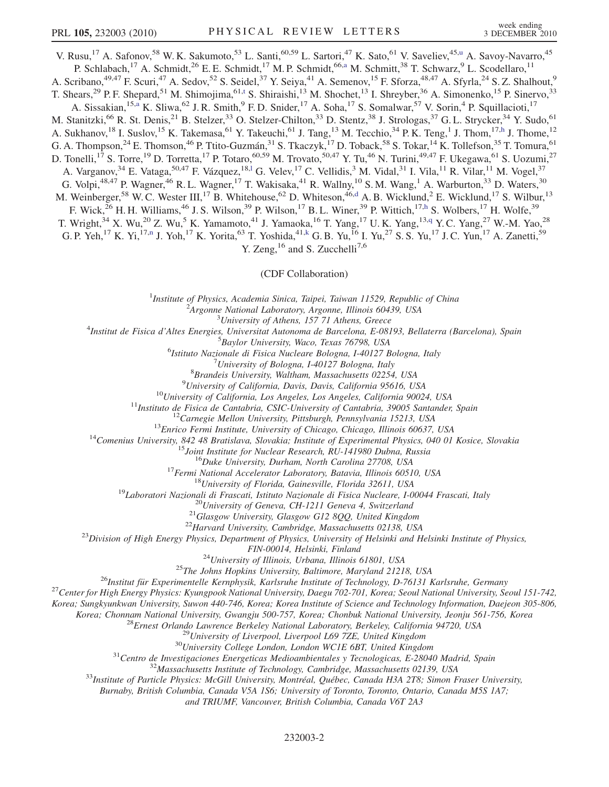<span id="page-4-2"></span>V. R[u](#page-9-4)su,<sup>17</sup> A. Safonov,<sup>58</sup> W. K. Sakumoto,<sup>53</sup> L. Santi,<sup>60,59</sup> L. Sartori,<sup>47</sup> K. Sato,<sup>61</sup> V. Saveliev,<sup>45,u</sup> A. Savoy-Navarro,<sup>45</sup> P. Schl[a](#page-8-0)bach,<sup>17</sup> A. Schmidt,<sup>26</sup> E. E. Schmidt,<sup>17</sup> M. P. Schmidt,<sup>66,a</sup> M. Schmitt,<sup>38</sup> T. Schwarz,<sup>9</sup> L. Scodellaro,<sup>11</sup> A. Scribano,<sup>49,47</sup> F. Scuri,<sup>47</sup> A. Sedov,<sup>52</sup> S. Seidel,<sup>37</sup> Y. Seiya,<sup>41</sup> A. Semenov,<sup>15</sup> F. Sforza,<sup>48,47</sup> A. Sfyrla,<sup>24</sup> S. Z. Shalhout,<sup>9</sup> T. Shears,<sup>29</sup> P. F. Shepard,<sup>51</sup> M. Shimojima,<sup>61,[t](#page-9-12)</sup> S. Shiraishi,<sup>13</sup> M. Shochet,<sup>13</sup> I. Shreyber,<sup>36</sup> A. Simonenko,<sup>15</sup> P. Sinervo,<sup>33</sup> A. Siss[a](#page-8-0)kian,<sup>15,a</sup> K. Sliwa,<sup>62</sup> J. R. Smith,<sup>9</sup> F. D. Snider,<sup>17</sup> A. Soha,<sup>17</sup> S. Somalwar,<sup>57</sup> V. Sorin,<sup>4</sup> P. Squillacioti,<sup>17</sup> M. Stanitzki,<sup>66</sup> R. St. Denis,<sup>21</sup> B. Stelzer,<sup>33</sup> O. Stelzer-Chilton,<sup>33</sup> D. Stentz,<sup>38</sup> J. Strologas,<sup>37</sup> G. L. Strycker,<sup>34</sup> Y. Sudo,<sup>61</sup> A. Suk[h](#page-8-5)anov,<sup>18</sup> I. Suslov,<sup>15</sup> K. Takemasa,<sup>61</sup> Y. Takeuchi,<sup>61</sup> J. Tang,<sup>13</sup> M. Tecchio,<sup>34</sup> P. K. Teng,<sup>1</sup> J. Thom,<sup>17,h</sup> J. Thome,<sup>12</sup> G. A. Thompson,<sup>24</sup> E. Thomson,<sup>46</sup> P. Ttito-Guzmán,<sup>31</sup> S. Tkaczyk,<sup>17</sup> D. Toback,<sup>58</sup> S. Tokar,<sup>14</sup> K. Tollefson,<sup>35</sup> T. Tomura,<sup>61</sup> D. Tonelli,<sup>17</sup> S. Torre,<sup>19</sup> D. Torretta,<sup>17</sup> P. Totaro,<sup>60,59</sup> M. Trovato,<sup>50,47</sup> Y. Tu,<sup>46</sup> N. Turini,<sup>49,47</sup> F. Ukegawa,<sup>61</sup> S. Uozumi,<sup>27</sup> A. Varganov,<sup>34</sup> E. Vataga,<sup>50,47</sup> F. Vázquez,<sup>18,1</sup> G. Ve[l](#page-8-2)ev,<sup>17</sup> C. Vellidis,<sup>3</sup> M. Vidal,<sup>31</sup> I. Vila,<sup>11</sup> R. Vilar,<sup>11</sup> M. Vogel,<sup>37</sup> G. Volpi,  $48,47$  P. Wagner,  $46$  R. L. Wagner,  $^{17}$  T. Wakisaka,  $^{41}$  R. Wallny,  $^{10}$  S. M. Wang,  $^{1}$  A. Warburton,  $^{33}$  D. Waters,  $^{30}$ M. Weinberger,<sup>58</sup> W. C. Wester III,<sup>17</sup> B. Whitehouse,<sup>62</sup> D. Whiteson,<sup>46,[d](#page-8-4)</sup> A. B. Wicklund,<sup>2</sup> E. Wicklund,<sup>17</sup> S. Wilbur,<sup>13</sup> F. Wick,<sup>26</sup> H. H. Williams,<sup>46</sup> J. S. Wilson,<sup>39</sup> P. Wilson,<sup>17</sup> B. L. Winer,<sup>39</sup> P. Wittic[h](#page-8-5),<sup>17,h</sup> S. Wolbers,<sup>17</sup> H. Wolfe,<sup>39</sup> T. Wright,<sup>34</sup> X. Wu,<sup>20</sup> Z. Wu,<sup>5</sup> K. Yamamoto,<sup>41</sup> J. Yamaoka,<sup>16</sup> T. Yang,<sup>17</sup> U.K. Yang,<sup>13[,q](#page-9-13)</sup> Y.C. Yang,<sup>27</sup> W.-M. Yao,<sup>28</sup> G. P. Yeh,<sup>17</sup> K. Yi,<sup>17[,n](#page-8-11)</sup> J. Yoh,<sup>17</sup> K. Yorita,<sup>63</sup> T. Yoshida,<sup>41[,k](#page-8-14)</sup> G. B. Yu,<sup>16</sup> I. Yu,<sup>27</sup> S. S. Yu,<sup>17</sup> J. C. Yun,<sup>17</sup> A. Zanetti,<sup>59</sup> Y. Zeng,  $^{16}$  and S. Zucchelli<sup>7,6</sup>

(CDF Collaboration)

<sup>1</sup>Institute of Physics, Academia Sinica, Taipei, Taiwan 11529, Republic of China<br><sup>2</sup><sup>4</sup> Engange National Laboratory, Argonne, Illinois 60430, USA

 $A$ rgonne National Laboratory, Argonne, Illinois 60439, USA<br> $3$ University of Athens, 157 71 Athens, Greece

<span id="page-4-1"></span><span id="page-4-0"></span><sup>5</sup> University of Athens, 157 71 Athens, Greece  $\frac{3}{4}$  University of Athens, 157 71 Athens, Greece

Institut de Fisica d'Altes Energies, Universitat Autonoma de Barcelona, E-08193, Bellaterra (Barcelona), Spain <sup>5</sup>

Baylor University, Waco, Texas 76798, USA<sup>6</sup><br><sup>6</sup>Istitute Nazionale di Fisica Nucleare Bologna, L40127 E

Istituto Nazionale di Fisica Nucleare Bologna, I-40127 Bologna, Italy<br><sup>7</sup>University of Bologna, L40127 Bologna, Italy

 $^{7}$ University of Bologna, I-40127 Bologna, Italy

 ${}^{8}$ Brandeis University, Waltham, Massachusetts 02254, USA<br><sup>9</sup>University of California, Davis, Davis, California 95616, USA

<sup>10</sup>University of California, Davis, Davis, California 95616, USA<br><sup>10</sup>University of California, Los Angeles, Los Angeles, California 90024, USA<br><sup>11</sup>Instituto de Fisica de Cantabria, CSIC-University of Cantabria, 39005 San

FIN-00014, Helsinki, Finland<br><sup>24</sup>University of Illinois, Urbana, Illinois 61801, USA<br><sup>25</sup>Institut für Experimentelle Kernphysik, Karlsruhe Institute of Technology, D-76131 Karlsruhe, Germany<br><sup>27</sup>Center for High Energy Phys

Korea; Sungkyunkwan University, Suwon 440-746, Korea; Korea Institute of Science and Technology Information, Daejeon 305-806,

Korea; Chonnam National University, Gwangju 500-757, Korea; Chonbuk National University, Jeonju 561-756, Korea<br><sup>28</sup>Ernest Orlando Lawrence Berkeley National Laboratory, Berkeley, California 94720, USA<br><sup>29</sup>University of Liv

Burnaby, British Columbia, Canada V5A 1S6; University of Toronto, Toronto, Ontario, Canada M5S 1A7;

and TRIUMF, Vancouver, British Columbia, Canada V6T 2A3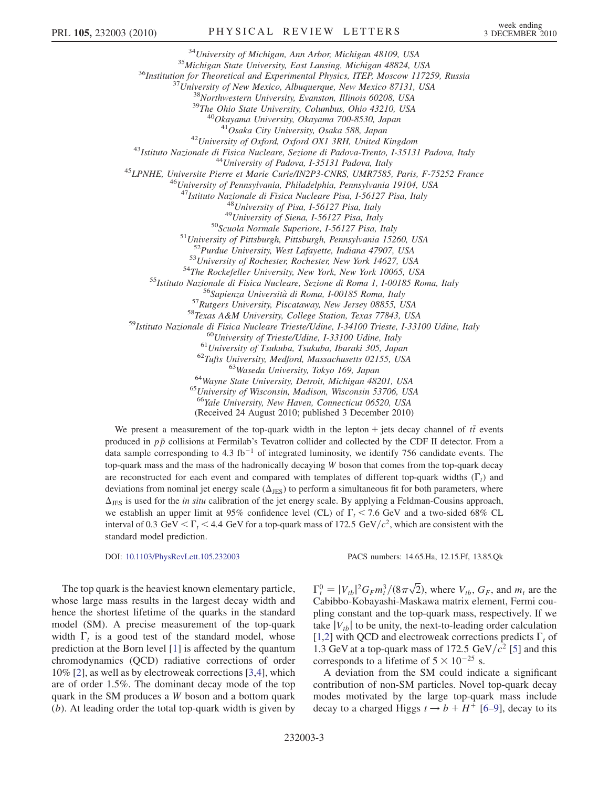<sup>34</sup>University of Michigan, Ann Arbor, Michigan 48109, USA<br><sup>35</sup>Michigan State University, East Lansing, Michigan 48824, USA<br><sup>36</sup>Institution for Theoretical and Experimental Physics, ITEP, Moscow 117259, Russia<br><sup>37</sup>Univers <sup>42</sup>University of Oxford, Oxford OX1 3RH, United Kingdom<br><sup>43</sup>Istituto Nazionale di Fisica Nucleare, Sezione di Padova-Trento, I-35131 Padova, Italy<br><sup>44</sup>University of Padova, I-35131 Padova, Italy<br><sup>45</sup>LPNHE, Universite Pie <sup>48</sup>University of Pisa, I-56127 Pisa, Italy<br><sup>49</sup>University of Siena, I-56127 Pisa, Italy<br><sup>50</sup>Scuola Normale Superiore, I-56127 Pisa, Italy<br><sup>51</sup>University of Pittsburgh, Pittsburgh, Pennsylvania 15260, USA<br><sup>52</sup>Purdue Unive <sup>52</sup>Purdue University, West Lafayette, Indiana 47907, USA<br>
<sup>53</sup>Urniversity of Rochester, Rochester, New York 14627, USA<br>
<sup>53</sup>Urniversity of Rochester, Rochester, New York 10065, USA<br>
<sup>54</sup>The Rockefeller University, New Yo  $^{65}$ University of Wisconsin, Madison, Wisconsin 53706, USA<br> $^{66}$ Yale University, New Haven, Connecticut 06520, USA (Received 24 August 2010; published 3 December 2010)

We present a measurement of the top-quark width in the lepton + jets decay channel of  $t\bar{t}$  events produced in  $p\bar{p}$  collisions at Fermilab's Tevatron collider and collected by the CDF II detector. From a data sample corresponding to 4.3  $\text{fb}^{-1}$  of integrated luminosity, we identify 756 candidate events. The top-quark mass and the mass of the hadronically decaying W boson that comes from the top-quark decay are reconstructed for each event and compared with templates of different top-quark widths  $(\Gamma_t)$  and<br>deviations from nominal ist energy scale  $(\Lambda_t)$  to perform a simultaneous fit for both parameters, where deviations from nominal jet energy scale  $(\Delta_{JES})$  to perform a simultaneous fit for both parameters, where  $\Delta_{\text{JES}}$  is used for the *in situ* calibration of the jet energy scale. By applying a Feldman-Cousins approach, we establish an upper limit at 95% confidence level (CL) of  $\Gamma_t$  < 7.6 GeV and a two-sided 68% CL<br>interval of 0.3 GeV <  $\Gamma$  < 4.4 GeV for a top quark mass of 172.5 GeV/ $c^2$  which are consistent with the interval of 0.3 GeV  $\langle \Gamma_t \rangle$  4.4 GeV for a top-quark mass of 172.5 GeV/ $c^2$ , which are consistent with the standard model prediction standard model prediction.

DOI: [10.1103/PhysRevLett.105.232003](http://dx.doi.org/10.1103/PhysRevLett.105.232003) PACS numbers: 14.65.Ha, 12.15.Ff, 13.85.Qk

The top quark is the heaviest known elementary particle, whose large mass results in the largest decay width and hence the shortest lifetime of the quarks in the standard model (SM). A precise measurement of the top-quark width  $\Gamma_t$  is a good test of the standard model, whose<br>prediction at the Born level [1] is affected by the quantum prediction at the Born level [[1\]](#page-9-14) is affected by the quantum chromodynamics (QCD) radiative corrections of order 10% [[2](#page-9-15)], as well as by electroweak corrections [\[3](#page-9-16),[4](#page-9-17)], which are of order 1.5%. The dominant decay mode of the top quark in the SM produces a W boson and a bottom quark (b). At leading order the total top-quark width is given by

-2 Cabibbo-Kobayashi-Maskawa matrix element, Fermi cou- $V_t^0 = |V_{tb}|^2 G_F m_t^3 / (8\pi\sqrt{2})$ , where  $V_{tb}$ ,  $G_F$ , and  $m_t$  are the abibbo-Kobayashi-Maskawa matrix element Fermi coupling constant and the top-quark mass, respectively. If we take  $|V_{th}|$  to be unity, the next-to-leading order calculation [\[1,](#page-9-14)[2](#page-9-15)] with QCD and electroweak corrections predicts  $\Gamma_t$  of 1.3 GeV at a top-quark mass of 172.5 GeV/ $c^2$  [5] and this 1.3 GeV at a top-quark mass of 172.5 GeV/ $c^2$  [[5\]](#page-9-18) and this corresponds to a lifetime of  $5 \times 10^{-25}$  s.<br>A deviation from the SM could indic

A deviation from the SM could indicate a significant contribution of non-SM particles. Novel top-quark decay modes motivated by the large top-quark mass include decay to a charged Higgs  $t \rightarrow b + H^+$  [\[6](#page-9-19)–[9\]](#page-9-20), decay to its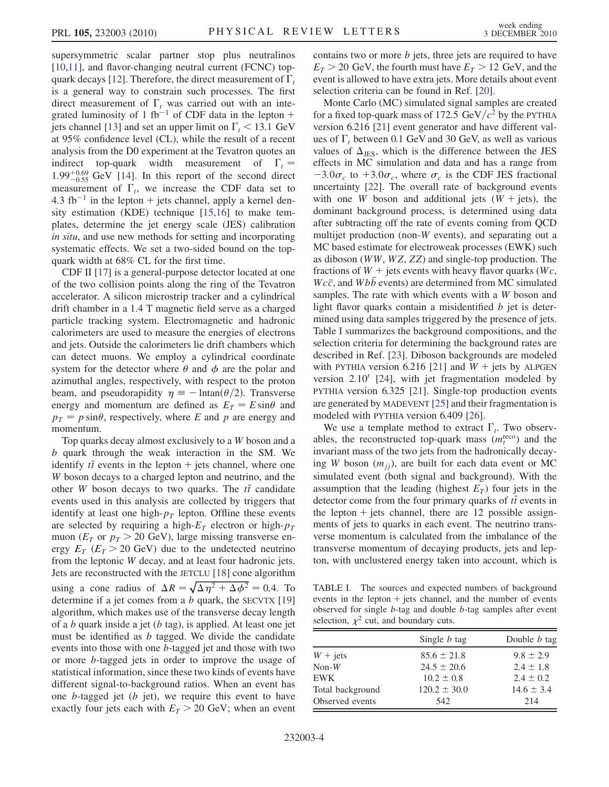supersymmetric scalar partner stop plus neutralinos [\[10](#page-9-21)[,11\]](#page-9-22), and flavor-changing neutral current (FCNC) top-quark decays [\[12\]](#page-9-23). Therefore, the direct measurement of  $\Gamma_t$ <br>is a general way to constrain such processes. The first is a general way to constrain such processes. The first direct measurement of  $\Gamma_t$  was carried out with an inte-<br>grated luminosity of 1 fb<sup>-1</sup> of CDE data in the lepton + grated luminosity of 1 fb<sup>-1</sup> of CDF data in the lepton + jets channel [\[13\]](#page-9-24) and set an upper limit on  $\Gamma_t < 13.1 \text{ GeV}$ <br>at 95% confidence level (CI), while the result of a recent at 95% confidence level (CL), while the result of a recent analysis from the D0 experiment at the Tevatron quotes an indirect top-quark width measurement of  $\Gamma_t = 1.99^{+0.69}$  GeV [141] In this report of the second direct  $1.99^{+0.69}_{-0.55}$  GeV [\[14\]](#page-9-25). In this report of the second direct measurement of  $\Gamma_t$ , we increase the CDF data set to  $4.3 \text{ fb}^{-1}$  in the lepton + jets channel apply a kernel den-4.3 fb<sup>-1</sup> in the lepton + jets channel, apply a kernel density estimation (KDE) technique [\[15](#page-9-26)[,16\]](#page-9-27) to make templates, determine the jet energy scale (JES) calibration in situ, and use new methods for setting and incorporating systematic effects. We set a two-sided bound on the topquark width at 68% CL for the first time.

CDF II [\[17\]](#page-9-28) is a general-purpose detector located at one of the two collision points along the ring of the Tevatron accelerator. A silicon microstrip tracker and a cylindrical drift chamber in a 1.4 T magnetic field serve as a charged particle tracking system. Electromagnetic and hadronic calorimeters are used to measure the energies of electrons and jets. Outside the calorimeters lie drift chambers which can detect muons. We employ a cylindrical coordinate system for the detector where  $\theta$  and  $\phi$  are the polar and azimuthal angles, respectively, with respect to the proton beam, and pseudorapidity  $\eta \equiv -\ln \frac{(\theta/2)}{\pi}$ . Transverse<br>energy and momentum are defined as  $F_{\pi} = F \sin \theta$  and energy and momentum are defined as  $E_T = E \sin\theta$  and<br>  $p_x = p \sin\theta$  respectively where E and p are energy and  $p_T = p \sin\theta$ , respectively, where E and p are energy and momentum momentum.

Top quarks decay almost exclusively to a W boson and a b quark through the weak interaction in the SM. We identify  $t\bar{t}$  events in the lepton  $+$  jets channel, where one<br>W boson decays to a charged lepton and paytring, and the W boson decays to a charged lepton and neutrino, and the other W boson decays to two quarks. The  $t\bar{t}$  candidate<br>events used in this applysis are collected by triggers that events used in this analysis are collected by triggers that identify at least one high- $p_T$  lepton. Offline these events are selected by requiring a high- $E_T$  electron or high- $p_T$ muon ( $E_T$  or  $p_T > 20$  GeV), large missing transverse energy  $E_T$  ( $E_T > 20$  GeV) due to the undetected neutrino from the leptonic W decay, and at least four hadronic jets. Jets are reconstructed with the JETCLU [\[18\]](#page-9-29) cone algorithm using a cone radius of  $\Delta R = \sqrt{\Delta \eta^2 + \Delta \phi^2} = 0.4$ . To determine if a jet comes from a *b* quark the SECVTX [19] determine if a jet comes from a  $b$  quark, the SECVTX [\[19\]](#page-9-30) algorithm, which makes use of the transverse decay length of a b quark inside a jet  $(b \text{ tag})$ , is applied. At least one jet must be identified as  $b$  tagged. We divide the candidate events into those with one b-tagged jet and those with two or more b-tagged jets in order to improve the usage of statistical information, since these two kinds of events have different signal-to-background ratios. When an event has one  $b$ -tagged jet  $(b)$  jet), we require this event to have exactly four jets each with  $E_T > 20$  GeV; when an event contains two or more  $b$  jets, three jets are required to have  $E_T > 20$  GeV, the fourth must have  $E_T > 12$  GeV, and the event is allowed to have extra jets. More details about event selection criteria can be found in Ref. [[20](#page-9-31)].

Monte Carlo (MC) simulated signal samples are created for a fixed top-quark mass of 172.5 GeV/ $c^2$  by the PYTHIA version 6.216 [\[21\]](#page-9-32) event generator and have different values of  $\Gamma_t$  between 0.1 GeV and 30 GeV, as well as various values of  $\Lambda_{\text{max}}$  which is the difference between the IFS values of  $\Delta_{JES}$ , which is the difference between the JES effects in MC simulation and data and has a range from  $-3.0\sigma_c$  to  $+3.0\sigma_c$ , where  $\sigma_c$  is the CDF JES fractional uncertainty [\[22\]](#page-9-33). The overall rate of background events with one W boson and additional jets  $(W + jets)$ , the dominant background process, is determined using data after subtracting off the rate of events coming from QCD multijet production (non-W events), and separating out a MC based estimate for electroweak processes (EWK) such as diboson (WW, WZ, ZZ) and single-top production. The fractions of  $W +$  jets events with heavy flavor quarks (Wc,  $Wc\bar{c}$ , and  $Wb\bar{b}$  events) are determined from MC simulated samples. The rate with which events with a W boson and light flavor quarks contain a misidentified  $b$  jet is determined using data samples triggered by the presence of jets. Table [I](#page-6-0) summarizes the background compositions, and the selection criteria for determining the background rates are described in Ref. [[23](#page-9-34)]. Diboson backgrounds are modeled with PYTHIA version 6.216 [\[21\]](#page-9-32) and  $W +$  jets by ALPGEN version  $2.10'$  [\[24\]](#page-9-35), with jet fragmentation modeled by PYTHIA version 6.325 [[21](#page-9-32)]. Single-top production events are generated by MADEVENT [[25](#page-9-36)] and their fragmentation is modeled with PYTHIA version 6.409 [[26](#page-9-37)].

We use a template method to extract  $\Gamma_t$ . Two observ-<br>les the reconstructed top-quark mass ( $m^{\text{reco}}$ ) and the ables, the reconstructed top-quark mass  $(m_t^{\text{reco}})$  and the invariant mass of the two jets from the hadronically decaying W boson  $(m_{ij})$ , are built for each data event or MC simulated event (both signal and background). With the assumption that the leading (highest  $E_T$ ) four jets in the detector come from the four primary quarks of  $t\bar{t}$  events in<br>the lepton  $\pm$  iets channel, there are 12 possible assign the lepton  $+$  jets channel, there are 12 possible assignments of jets to quarks in each event. The neutrino transverse momentum is calculated from the imbalance of the transverse momentum of decaying products, jets and lepton, with unclustered energy taken into account, which is

<span id="page-6-0"></span>TABLE I. The sources and expected numbers of background events in the lepton  $+$  jets channel, and the number of events observed for single b-tag and double b-tag samples after event selection,  $\chi^2$  cut, and boundary cuts.

|                  | Single <i>b</i> tag | Double <i>b</i> tag |
|------------------|---------------------|---------------------|
| $W + jets$       | $85.6 \pm 21.8$     | $9.8 \pm 2.9$       |
| $Non-W$          | $24.5 \pm 20.6$     | $2.4 \pm 1.8$       |
| EWK              | $10.2 \pm 0.8$      | $2.4 \pm 0.2$       |
| Total background | $120.2 \pm 30.0$    | $14.6 \pm 3.4$      |
| Observed events  | 542                 | 214                 |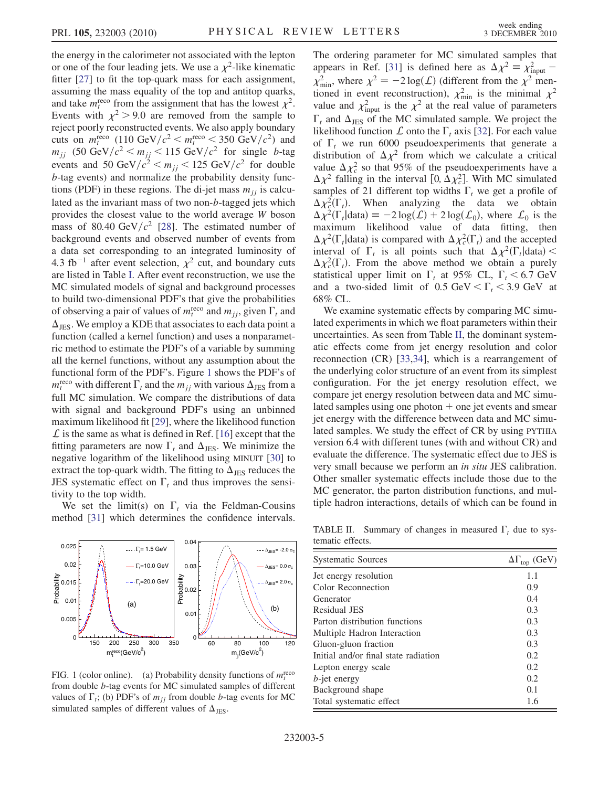the energy in the calorimeter not associated with the lepton or one of the four leading jets. We use a  $\chi^2$ -like kinematic fitter [\[27\]](#page-9-38) to fit the top-quark mass for each assignment, assuming the mass equality of the top and antitop quarks, and take  $m_t^{\text{reco}}$  from the assignment that has the lowest  $\chi^2$ . Events with  $\chi^2$  > 9.0 are removed from the sample to reject poorly reconstructed events. We also apply boundary cuts on  $m_{\rm r}^{\rm reco}$  (110 GeV/ $c^2 < m_{\rm r}^{\rm reco} < 350$  GeV/ $c^2$ ) and<br>m. (50 GeV/ $c^2 < m_{\rm r} < 115$  GeV/ $c^2$  for single *h*-tag  $m_{jj}$  (50 GeV/ $c^2 < m_{jj} < 115$  GeV/ $c^2$  for single b-tagged both  $\epsilon$  of  $\epsilon$  50 GeV/ $c^2 < m$   $\epsilon$  125 GeV/ $c^2$  for double events and 50 GeV/ $c^2 < m_{jj} < 125$  GeV/ $c^2$  for double<br>b tog events) and pormalize the probability density funcb-tag events) and normalize the probability density functions (PDF) in these regions. The di-jet mass  $m_{ij}$  is calculated as the invariant mass of two non-b-tagged jets which provides the closest value to the world average W boson mass of 80.40 GeV/ $c^2$  [\[28\]](#page-9-39). The estimated number of background events and observed number of events from a data set corresponding to an integrated luminosity of 4.3 fb<sup>-1</sup> after event selection,  $\chi^2$  cut, and boundary cuts are listed in Table [I.](#page-6-0) After event reconstruction, we use the MC simulated models of signal and background processes to build two-dimensional PDF's that give the probabilities of observing a pair of values of  $m_t^{\text{reco}}$  and  $m_{jj}$ , given  $\Gamma_t$  and  $\Lambda$ .  $\Delta_{\text{IFS}}$ . We employ a KDE that associates to each data point a function (called a kernel function) and uses a nonparametric method to estimate the PDF's of a variable by summing all the kernel functions, without any assumption about the functional form of the PDF's. Figure [1](#page-7-0) shows the PDF's of  $m_{\rm f}^{\rm reco}$  with different  $\Gamma_t$  and the  $m_{jj}$  with various  $\Delta_{\rm JES}$  from a full MC simulation. We compare the distributions of data full MC simulation. We compare the distributions of data with signal and background PDF's using an unbinned maximum likelihood fit [[29](#page-9-40)], where the likelihood function  $\mathcal L$  is the same as what is defined in Ref. [\[16\]](#page-9-27) except that the fitting parameters are now  $\Gamma_t$  and  $\Delta_{JES}$ . We minimize the negative logarithm of the likelihood using MINUTT [30] to negative logarithm of the likelihood using MINUIT [[30](#page-9-41)] to extract the top-quark width. The fitting to  $\Delta_{\text{JES}}$  reduces the JES systematic effect on  $\Gamma_t$  and thus improves the sensitivity to the top width tivity to the top width.

We set the limit(s) on  $\Gamma_t$  via the Feldman-Cousins<br>of the I311 which determines the confidence intervals method [[31\]](#page-9-42) which determines the confidence intervals.

<span id="page-7-0"></span>

FIG. 1 (color online). (a) Probability density functions of  $m_t^{\text{reco}}$ from double b-tag events for MC simulated samples of different values of  $\Gamma_t$ ; (b) PDF's of  $m_{jj}$  from double *b*-tag events for MC simulated samples of different values of  $\Lambda$ simulated samples of different values of  $\Delta_{JES}$ .

The ordering parameter for MC simulated samples that appears in Ref. [[31](#page-9-42)] is defined here as  $\Delta \chi^2 = \chi_{\text{input}}^2$  –<br> $\chi^2$  where  $\chi^2 = 2 \log(\zeta)$  (different from the  $\chi^2$  mon  $\chi^2_{\text{min}}$ , where  $\chi^2 = -2 \log(L)$  (different from the  $\chi^2$  men-<br>tioned in event reconstruction)  $\chi^2$  is the minimal  $\chi^2$ tioned in event reconstruction),  $\chi^2_{min}$  is the minimal  $\chi^2$ <br>value and  $\chi^2_{input}$  is the  $\chi^2$  at the real value of parameters<br> $\Gamma$  and  $\Lambda$  of the MC simulated sample. We project the likelihood function  $\hat{L}$  onto the  $\Gamma_t$  axis [[32](#page-9-43)]. For each value<br>of  $\Gamma_{\text{c}}$  we run 6000 pseudoexperiments that generate a  $\Gamma_t$  and  $\Delta_{\text{JES}}$  of the MC simulated sample. We project the of  $\Gamma_t$  we run 6000 pseudoexperiments that generate a distribution of  $\Delta v^2$  from which we calculate a critical distribution of  $\Delta \chi^2$  from which we calculate a critical value  $\Delta \chi^2$  so that 95% of the pseudoexperiments have a  $\Delta \chi^2$  falling in the interval [0,  $\Delta \chi^2$ ]. With MC simulated  $\Delta \chi^2$  falling in the interval [0,  $\Delta \chi^2$ ]. With MC simulated samples of 21 different top widths  $\Gamma$ , we get a profile of samples of 21 different top widths  $\Gamma_t$  we get a profile of  $\Delta v^2(\Gamma)$  When analyzing the data we obtain  $\Delta \chi^2_c(\Gamma_t)$ . When analyzing the data we obtain<br> $\Delta \chi^2(\Gamma_t)$  data) = -2 log(f) + 2 log(f) where f is the  $\Delta \chi^2(\Gamma_t | \text{data}) \equiv -2 \log(L) + 2 \log(L_0)$ , where  $L_0$  is the maximum likelihood value of data fitting then maximum likelihood value of data fitting, then  $\Delta \chi^2(\Gamma_t)$  data) is compared with  $\Delta \chi_c^2(\Gamma_t)$  and the accepted<br>interval of  $\Gamma_t$  is all points such that  $\Delta \chi_c^2(\Gamma_t)$  data)  $\frac{z}{c}$ (1 interval of  $\Gamma_t$  is all points such that  $\Delta \chi^2(\Gamma_t | \text{data}) < \Delta \chi^2(\Gamma)$ . From the above method we obtain a purely  $\Delta \chi^2_c(\Gamma_t)$ . From the above method we obtain a purely statistical upper limit on  $\Gamma$  at 95% CL  $\Gamma$  < 6.7 GeV  $\frac{z}{c}$ (1)<br>isti statistical upper limit on  $\Gamma_t$  at 95% CL,  $\Gamma_t \leq 6.7$  GeV<br>and a two-sided limit of 0.5 GeV  $\lt \Gamma \lt 3.9$  GeV at and a two-sided limit of  $0.5 \text{ GeV} < \Gamma_t < 3.9 \text{ GeV}$  at 68% CL 68% CL.

We examine systematic effects by comparing MC simulated experiments in which we float parameters within their uncertainties. As seen from Table [II,](#page-7-1) the dominant systematic effects come from jet energy resolution and color reconnection (CR) [\[33,](#page-9-44)[34\]](#page-9-45), which is a rearrangement of the underlying color structure of an event from its simplest configuration. For the jet energy resolution effect, we compare jet energy resolution between data and MC simulated samples using one photon  $+$  one jet events and smear jet energy with the difference between data and MC simulated samples. We study the effect of CR by using PYTHIA version 6.4 with different tunes (with and without CR) and evaluate the difference. The systematic effect due to JES is very small because we perform an in situ JES calibration. Other smaller systematic effects include those due to the MC generator, the parton distribution functions, and multiple hadron interactions, details of which can be found in

<span id="page-7-1"></span>TABLE II. Summary of changes in measured  $\Gamma_t$  due to systematic effects tematic effects.

| <b>Systematic Sources</b>            | $\Delta\Gamma_{\text{top}}$ (GeV) |
|--------------------------------------|-----------------------------------|
| Jet energy resolution                | 1.1                               |
| Color Reconnection                   | 0.9                               |
| Generator                            | 0.4                               |
| Residual JES                         | 0.3                               |
| Parton distribution functions        | 0.3                               |
| Multiple Hadron Interaction          | 0.3                               |
| Gluon-gluon fraction                 | 0.3                               |
| Initial and/or final state radiation | 0.2                               |
| Lepton energy scale                  | 0.2                               |
| $b$ -jet energy                      | 0.2                               |
| Background shape                     | 0.1                               |
| Total systematic effect              | 1.6                               |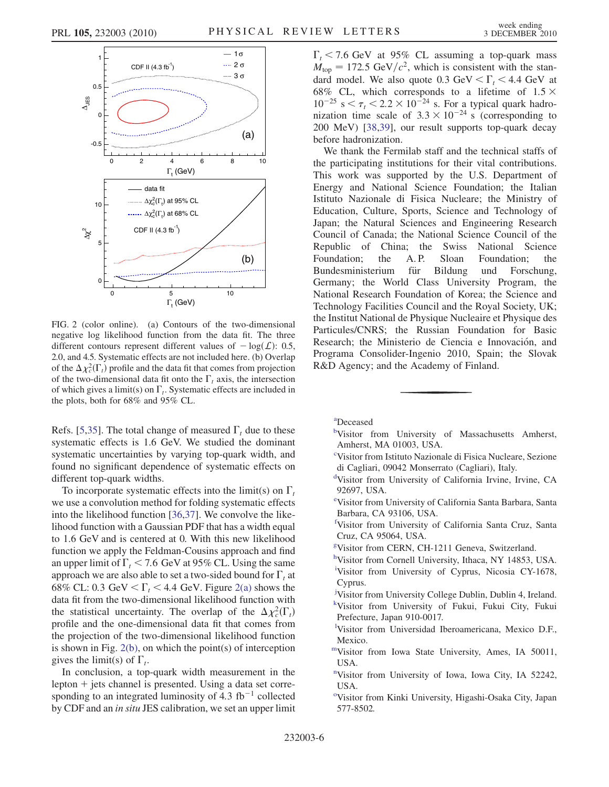

<span id="page-8-15"></span>FIG. 2 (color online). (a) Contours of the two-dimensional negative log likelihood function from the data fit. The three different contours represent different values of  $-\log(L)$ : 0.5, 2.0, and 4.5. Systematic effects are not included here. (b) Overlap of the  $\Delta \chi^2_c(\Gamma_t)$  profile and the data fit that comes from projection<br>of the two-dimensional data fit onto the  $\Gamma_c$  axis, the intersection  $\frac{z}{c}$ (1<br>)-di of the two-dimensional data fit onto the  $\Gamma_t$  axis, the intersection<br>of which gives a limit(s) on  $\Gamma$ . Systematic effects are included in of which gives a limit(s) on  $\Gamma_t$ . Systematic effects are included in the plots, both for 68% and 95% CI the plots, both for 68% and 95% CL.

Refs. [[5](#page-9-18),[35](#page-9-46)]. The total change of measured  $\Gamma_t$  due to these<br>systematic effects is 1.6 GeV. We studied the dominant systematic effects is 1.6 GeV. We studied the dominant systematic uncertainties by varying top-quark width, and found no significant dependence of systematic effects on different top-quark widths.

To incorporate systematic effects into the limit(s) on  $\Gamma_t$ <br>the a convolution method for folding systematic effects we use a convolution method for folding systematic effects into the likelihood function [[36](#page-9-47),[37](#page-9-48)]. We convolve the likelihood function with a Gaussian PDF that has a width equal to 1.6 GeV and is centered at 0. With this new likelihood function we apply the Feldman-Cousins approach and find an upper limit of  $\Gamma_t$  < 7.6 GeV at 95% CL. Using the same<br>approach we are also able to set a two-sided bound for  $\Gamma$  at approach we are also able to set a two-sided bound for  $\Gamma_t$  at  $68\%$  CI : 0.3 GeV  $\epsilon \Gamma$   $\leq 4.4$  GeV. Figure 2(a) shows the 68% CL: 0.3 GeV  $\langle \Gamma_t \rangle$  4.4 GeV. Figure [2\(a\)](#page-8-15) shows the data fit from the two-dimensional likelihood function with data fit from the two-dimensional likelihood function with the statistical uncertainty. The overlap of the  $\Delta \chi_c^2(\Gamma_t)$ <br>profile and the one-dimensional data fit that comes from profile and the one-dimensional data fit that comes from the projection of the two-dimensional likelihood function is shown in Fig.  $2(b)$ , on which the point(s) of interception gives the limit(s) of  $\Gamma_t$ .<br>In conclusion a top

In conclusion, a top-quark width measurement in the lepton  $+$  jets channel is presented. Using a data set corresponding to an integrated luminosity of 4.3  $fb^{-1}$  collected by CDF and an in situ JES calibration, we set an upper limit

 $\Gamma_t$  < 7.6 GeV at 95% CL assuming a top-quark mass  $M_{\odot}$  = 172.5 GeV/ $c^2$  which is consistent with the stan- $M_{\text{top}} = 172.5 \text{ GeV}/c^2$ , which is consistent with the stan-<br>dard model. We also quote 0.3 GeV <  $\Gamma$  < 4.4 GeV at dard model. We also quote 0.3 GeV  $\langle \Gamma_t \rangle$  4.4 GeV at 68% CL, which corresponds to a lifetime of 1.5  $\times$ 68% CL, which corresponds to a lifetime of  $1.5 \times 10^{-25}$  s  $\leq \tau \leq 2.2 \times 10^{-24}$  s. For a typical quark hadro-68% CL, which corresponds to a lifetime of  $1.5 \times$  $10^{-25}$  s  $\lt \tau_t \lt 2.2 \times 10^{-24}$  s. For a typical quark hadro-<br>nization time scale of 3.3  $\times$  10<sup>-24</sup> s. (corresponding to nization time scale of  $3.3 \times 10^{-24}$  s (corresponding to 200 MeV) [38.39] our result supports top-quark decay 200 MeV) [[38](#page-9-49),[39](#page-9-50)], our result supports top-quark decay before hadronization.

We thank the Fermilab staff and the technical staffs of the participating institutions for their vital contributions. This work was supported by the U.S. Department of Energy and National Science Foundation; the Italian Istituto Nazionale di Fisica Nucleare; the Ministry of Education, Culture, Sports, Science and Technology of Japan; the Natural Sciences and Engineering Research Council of Canada; the National Science Council of the Republic of China; the Swiss National Science<br>Foundation; the A.P. Sloan Foundation; the Foundation; the A.P. Sloan Foundation; the Bundesministerium für Bildung und Forschung, Germany; the World Class University Program, the National Research Foundation of Korea; the Science and Technology Facilities Council and the Royal Society, UK; the Institut National de Physique Nucleaire et Physique des Particules/CNRS; the Russian Foundation for Basic Research: the Ministerio de Ciencia e Innovación, and Programa Consolider-Ingenio 2010, Spain; the Slovak R&D Agency; and the Academy of Finland.

- <span id="page-8-9"></span>[b](#page-3-1)Visitor from University of Massachusetts Amherst, Amherst, MA 01003, USA.
- <span id="page-8-4"></span>[c](#page-3-2) Visitor from Istituto Nazionale di Fisica Nucleare, Sezione di Cagliari, 09042 Monserrato (Cagliari), Italy.
- <span id="page-8-8"></span>[d](#page-3-3) Visitor from University of California Irvine, Irvine, CA 92697, USA.
- <span id="page-8-12"></span>[e](#page-3-4) Visitor from University of California Santa Barbara, Santa Barbara, CA 93106, USA.
- <span id="page-8-3"></span>[f](#page-3-5) Visitor from University of California Santa Cruz, Santa Cruz, CA 95064, USA.
- <span id="page-8-13"></span><span id="page-8-5"></span>[g](#page-3-6) Visitor from CERN, CH-1211 Geneva, Switzerland.
- [h](#page-3-7)Visitor from Cornell University, Ithaca, NY 14853, USA.
- <span id="page-8-10"></span><sup>[i](#page-3-0)</sup>Visitor from University of Cyprus, Nicosia CY-1678, Cyprus.
- <span id="page-8-14"></span>[j](#page-3-8) Visitor from University College Dublin, Dublin 4, Ireland. [k](#page-4-0) Visitor from University of Fukui, Fukui City, Fukui Prefecture, Japan 910-0017.
- <span id="page-8-7"></span><span id="page-8-2"></span>[l](#page-3-9) Visitor from Universidad Iberoamericana, Mexico D.F., Mexico.
- <span id="page-8-11"></span>[mV](#page-3-10)isitor from Iowa State University, Ames, IA 50011, USA.
- <span id="page-8-6"></span>[n](#page-3-11) Visitor from University of Iowa, Iowa City, IA 52242, USA.
- <sup>[o](#page-3-12)</sup>Visitor from Kinki University, Higashi-Osaka City, Japan 577-8502.

<span id="page-8-1"></span><span id="page-8-0"></span>[a](#page-3-0) Deceased